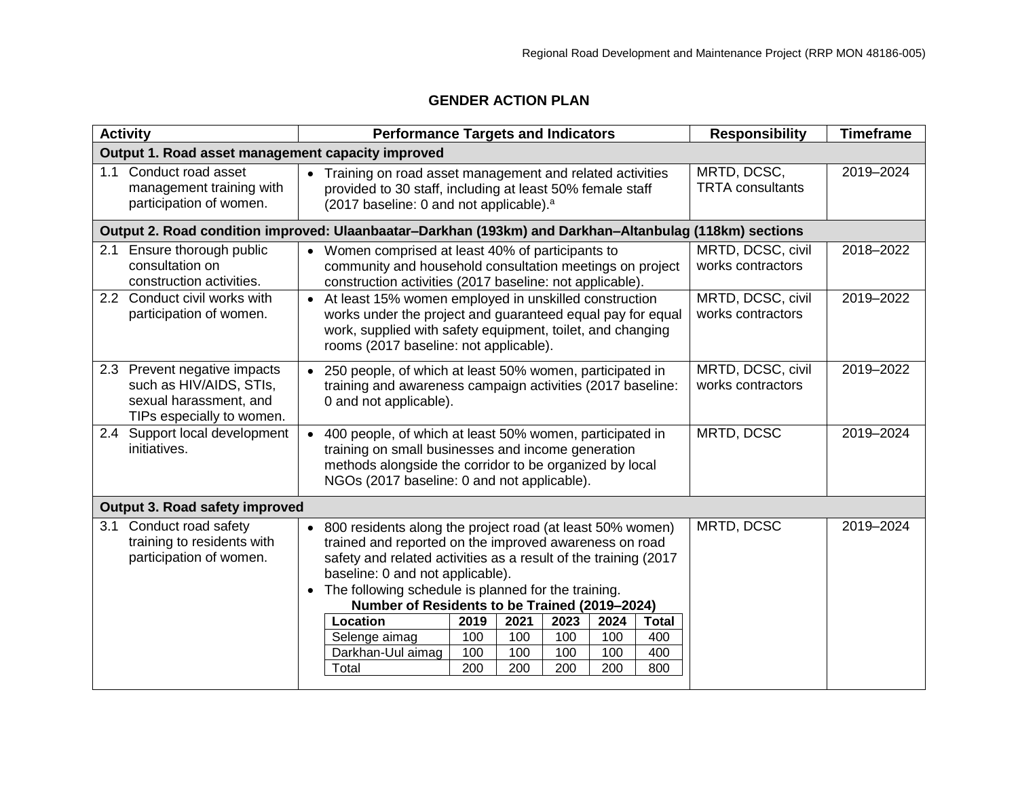## **GENDER ACTION PLAN**

| <b>Activity</b>                                                                                                | <b>Performance Targets and Indicators</b>                                                                                                                                                                                                                                                                                                                                                                                                                                                                                                              | <b>Responsibility</b>                  | <b>Timeframe</b> |  |  |  |  |  |  |  |  |
|----------------------------------------------------------------------------------------------------------------|--------------------------------------------------------------------------------------------------------------------------------------------------------------------------------------------------------------------------------------------------------------------------------------------------------------------------------------------------------------------------------------------------------------------------------------------------------------------------------------------------------------------------------------------------------|----------------------------------------|------------------|--|--|--|--|--|--|--|--|
| Output 1. Road asset management capacity improved                                                              |                                                                                                                                                                                                                                                                                                                                                                                                                                                                                                                                                        |                                        |                  |  |  |  |  |  |  |  |  |
| 1.1 Conduct road asset<br>management training with<br>participation of women.                                  | Training on road asset management and related activities<br>provided to 30 staff, including at least 50% female staff<br>(2017 baseline: 0 and not applicable). <sup>a</sup>                                                                                                                                                                                                                                                                                                                                                                           | MRTD, DCSC,<br><b>TRTA</b> consultants | 2019-2024        |  |  |  |  |  |  |  |  |
| Output 2. Road condition improved: Ulaanbaatar–Darkhan (193km) and Darkhan–Altanbulag (118km) sections         |                                                                                                                                                                                                                                                                                                                                                                                                                                                                                                                                                        |                                        |                  |  |  |  |  |  |  |  |  |
| 2.1 Ensure thorough public<br>consultation on<br>construction activities.                                      | Women comprised at least 40% of participants to<br>community and household consultation meetings on project<br>construction activities (2017 baseline: not applicable).                                                                                                                                                                                                                                                                                                                                                                                | MRTD, DCSC, civil<br>works contractors | 2018-2022        |  |  |  |  |  |  |  |  |
| 2.2 Conduct civil works with<br>participation of women.                                                        | At least 15% women employed in unskilled construction<br>works under the project and guaranteed equal pay for equal<br>work, supplied with safety equipment, toilet, and changing<br>rooms (2017 baseline: not applicable).                                                                                                                                                                                                                                                                                                                            | MRTD, DCSC, civil<br>works contractors | 2019-2022        |  |  |  |  |  |  |  |  |
| 2.3 Prevent negative impacts<br>such as HIV/AIDS, STIs,<br>sexual harassment, and<br>TIPs especially to women. | 250 people, of which at least 50% women, participated in<br>training and awareness campaign activities (2017 baseline:<br>0 and not applicable).                                                                                                                                                                                                                                                                                                                                                                                                       | MRTD, DCSC, civil<br>works contractors | 2019-2022        |  |  |  |  |  |  |  |  |
| 2.4 Support local development<br>initiatives.                                                                  | 400 people, of which at least 50% women, participated in<br>training on small businesses and income generation<br>methods alongside the corridor to be organized by local<br>NGOs (2017 baseline: 0 and not applicable).                                                                                                                                                                                                                                                                                                                               | MRTD, DCSC                             | 2019-2024        |  |  |  |  |  |  |  |  |
| Output 3. Road safety improved                                                                                 |                                                                                                                                                                                                                                                                                                                                                                                                                                                                                                                                                        |                                        |                  |  |  |  |  |  |  |  |  |
| 3.1 Conduct road safety<br>training to residents with<br>participation of women.                               | 800 residents along the project road (at least 50% women)<br>trained and reported on the improved awareness on road<br>safety and related activities as a result of the training (2017<br>baseline: 0 and not applicable).<br>The following schedule is planned for the training.<br>Number of Residents to be Trained (2019-2024)<br>2021<br>Location<br>2019<br>2023<br>2024<br><b>Total</b><br>100<br>Selenge aimag<br>100<br>100<br>100<br>400<br>400<br>Darkhan-Uul aimag<br>100<br>100<br>100<br>100<br>200<br>200<br>800<br>200<br>200<br>Total | MRTD, DCSC                             | 2019-2024        |  |  |  |  |  |  |  |  |